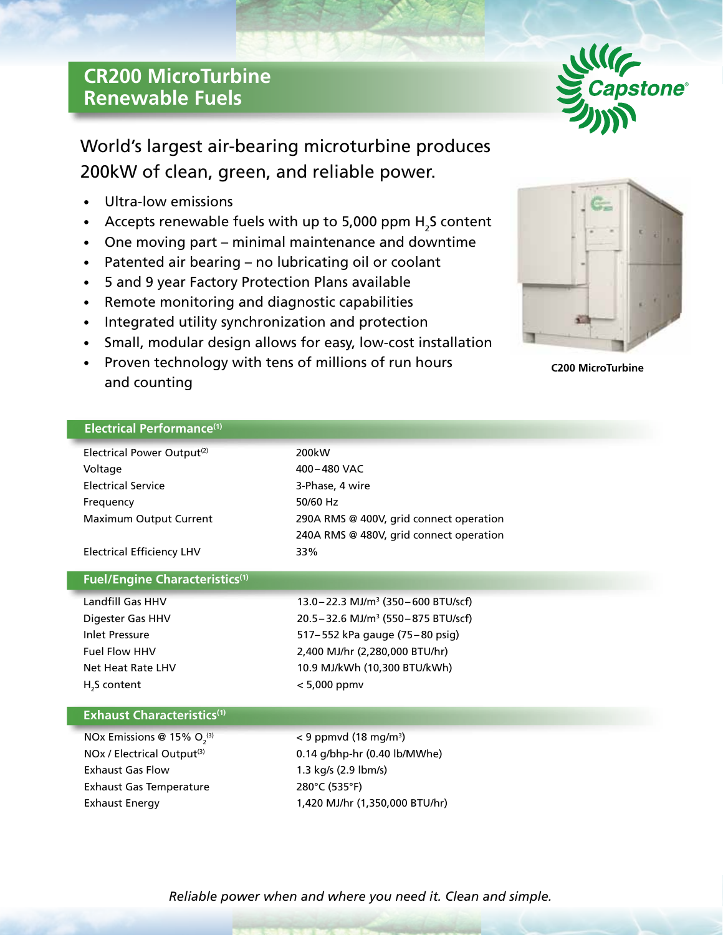## **CR200 MicroTurbine Renewable Fuels**



World's largest air-bearing microturbine produces 200kW of clean, green, and reliable power.

- Ultra-low emissions
- Accepts renewable fuels with up to 5,000 ppm  $H_2$ S content
- One moving part minimal maintenance and downtime
- Patented air bearing no lubricating oil or coolant
- 5 and 9 year Factory Protection Plans available
- Remote monitoring and diagnostic capabilities
- Integrated utility synchronization and protection
- Small, modular design allows for easy, low-cost installation
- Proven technology with tens of millions of run hours and counting



**C200 MicroTurbine**

## **Electrical Performance(1)**

| Electrical Power Output <sup>(2)</sup> | 200kW                                             |
|----------------------------------------|---------------------------------------------------|
| Voltage                                | 400-480 VAC                                       |
| <b>Electrical Service</b>              | 3-Phase, 4 wire                                   |
| Frequency                              | 50/60 Hz                                          |
| Maximum Output Current                 | 290A RMS @ 400V, grid connect operation           |
|                                        | 240A RMS @ 480V, grid connect operation           |
| <b>Electrical Efficiency LHV</b>       | 33%                                               |
|                                        |                                                   |
| <b>Fuel/Engine Characteristics(1)</b>  |                                                   |
| Landfill Gas HHV                       | 13.0 - 22.3 MJ/m <sup>3</sup> (350 - 600 BTU/scf) |
| Digester Gas HHV                       | 20.5 - 32.6 MJ/m <sup>3</sup> (550 - 875 BTU/scf) |
| <b>Inlet Pressure</b>                  | 517-552 kPa gauge (75-80 psig)                    |
| <b>Fuel Flow HHV</b>                   | 2,400 MJ/hr (2,280,000 BTU/hr)                    |
| Net Heat Rate LHV                      | 10.9 MJ/kWh (10,300 BTU/kWh)                      |
| H <sub>2</sub> S content               | $< 5,000$ ppmv                                    |
|                                        |                                                   |
| <b>Exhaust Characteristics(1)</b>      |                                                   |
| NOx Emissions @ 15% $O2(3)$            | $<$ 9 ppmvd (18 mg/m <sup>3</sup> )               |
| NOx / Electrical Output <sup>(3)</sup> | 0.14 g/bhp-hr (0.40 lb/MWhe)                      |
| <b>Exhaust Gas Flow</b>                | 1.3 kg/s (2.9 lbm/s)                              |
| <b>Exhaust Gas Temperature</b>         | 280°C (535°F)                                     |
| <b>Exhaust Energy</b>                  | 1,420 MJ/hr (1,350,000 BTU/hr)                    |
|                                        |                                                   |
|                                        |                                                   |

*Reliable power when and where you need it. Clean and simple.*